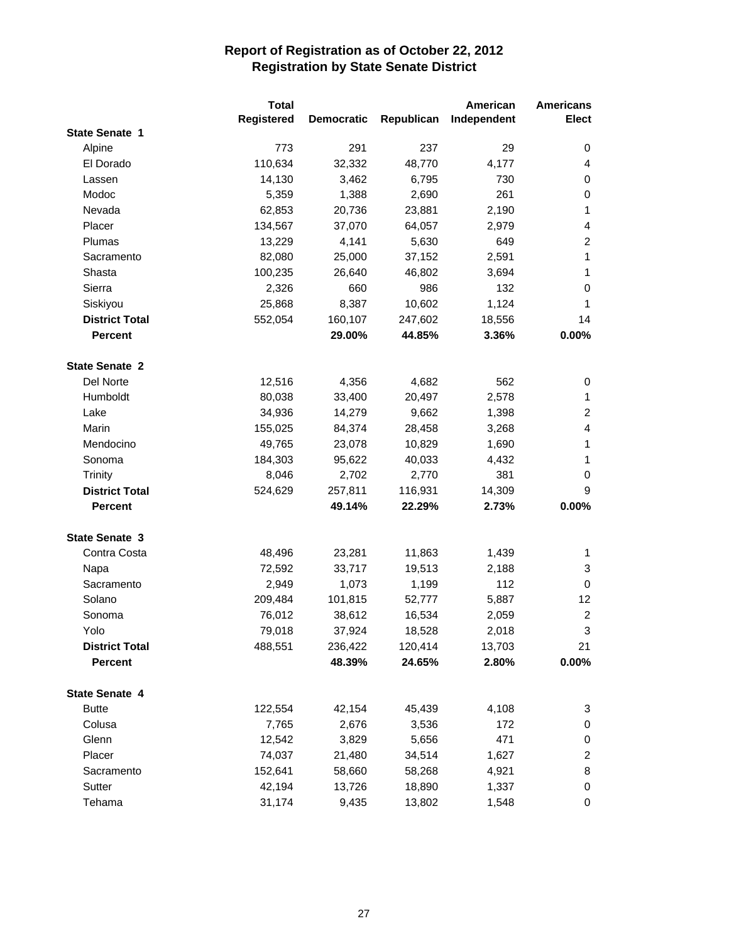|                       | <b>Total</b> |                   |            | American    | <b>Americans</b>          |
|-----------------------|--------------|-------------------|------------|-------------|---------------------------|
|                       | Registered   | <b>Democratic</b> | Republican | Independent | <b>Elect</b>              |
| <b>State Senate 1</b> |              |                   |            |             |                           |
| Alpine                | 773          | 291               | 237        | 29          | 0                         |
| El Dorado             | 110,634      | 32,332            | 48,770     | 4,177       | 4                         |
| Lassen                | 14,130       | 3,462             | 6,795      | 730         | 0                         |
| Modoc                 | 5,359        | 1,388             | 2,690      | 261         | 0                         |
| Nevada                | 62,853       | 20,736            | 23,881     | 2,190       | 1                         |
| Placer                | 134,567      | 37,070            | 64,057     | 2,979       | 4                         |
| Plumas                | 13,229       | 4,141             | 5,630      | 649         | $\overline{c}$            |
| Sacramento            | 82,080       | 25,000            | 37,152     | 2,591       | $\mathbf{1}$              |
| Shasta                | 100,235      | 26,640            | 46,802     | 3,694       | 1                         |
| Sierra                | 2,326        | 660               | 986        | 132         | 0                         |
| Siskiyou              | 25,868       | 8,387             | 10,602     | 1,124       | 1                         |
| <b>District Total</b> | 552,054      | 160,107           | 247,602    | 18,556      | 14                        |
| <b>Percent</b>        |              | 29.00%            | 44.85%     | 3.36%       | 0.00%                     |
| <b>State Senate 2</b> |              |                   |            |             |                           |
| Del Norte             | 12,516       | 4,356             | 4,682      | 562         | 0                         |
| Humboldt              | 80,038       | 33,400            | 20,497     | 2,578       | 1                         |
| Lake                  | 34,936       | 14,279            | 9,662      | 1,398       | $\overline{c}$            |
| Marin                 | 155,025      | 84,374            | 28,458     | 3,268       | 4                         |
| Mendocino             | 49,765       | 23,078            | 10,829     | 1,690       | 1                         |
| Sonoma                | 184,303      | 95,622            | 40,033     | 4,432       | 1                         |
| <b>Trinity</b>        | 8,046        | 2,702             | 2,770      | 381         | 0                         |
| <b>District Total</b> | 524,629      | 257,811           | 116,931    | 14,309      | 9                         |
| <b>Percent</b>        |              | 49.14%            | 22.29%     | 2.73%       | 0.00%                     |
|                       |              |                   |            |             |                           |
| <b>State Senate 3</b> |              |                   |            |             |                           |
| Contra Costa          | 48,496       | 23,281            | 11,863     | 1,439       | 1                         |
| Napa                  | 72,592       | 33,717            | 19,513     | 2,188       | 3                         |
| Sacramento            | 2,949        | 1,073             | 1,199      | 112         | 0                         |
| Solano                | 209,484      | 101,815           | 52,777     | 5,887       | 12                        |
| Sonoma                | 76,012       | 38,612            | 16,534     | 2,059       | $\overline{\mathbf{c}}$   |
| Yolo                  | 79,018       | 37,924            | 18,528     | 2,018       | $\ensuremath{\mathsf{3}}$ |
| <b>District Total</b> | 488,551      | 236,422           | 120,414    | 13,703      | 21                        |
| <b>Percent</b>        |              | 48.39%            | 24.65%     | 2.80%       | $0.00\%$                  |
| State Senate 4        |              |                   |            |             |                           |
| <b>Butte</b>          | 122,554      | 42,154            | 45,439     | 4,108       | 3                         |
| Colusa                | 7,765        | 2,676             | 3,536      | 172         | 0                         |
| Glenn                 | 12,542       | 3,829             | 5,656      | 471         | 0                         |
| Placer                | 74,037       | 21,480            | 34,514     | 1,627       | $\overline{c}$            |
| Sacramento            | 152,641      | 58,660            | 58,268     | 4,921       | 8                         |
| Sutter                | 42,194       | 13,726            | 18,890     | 1,337       | 0                         |
| Tehama                | 31,174       | 9,435             | 13,802     | 1,548       | 0                         |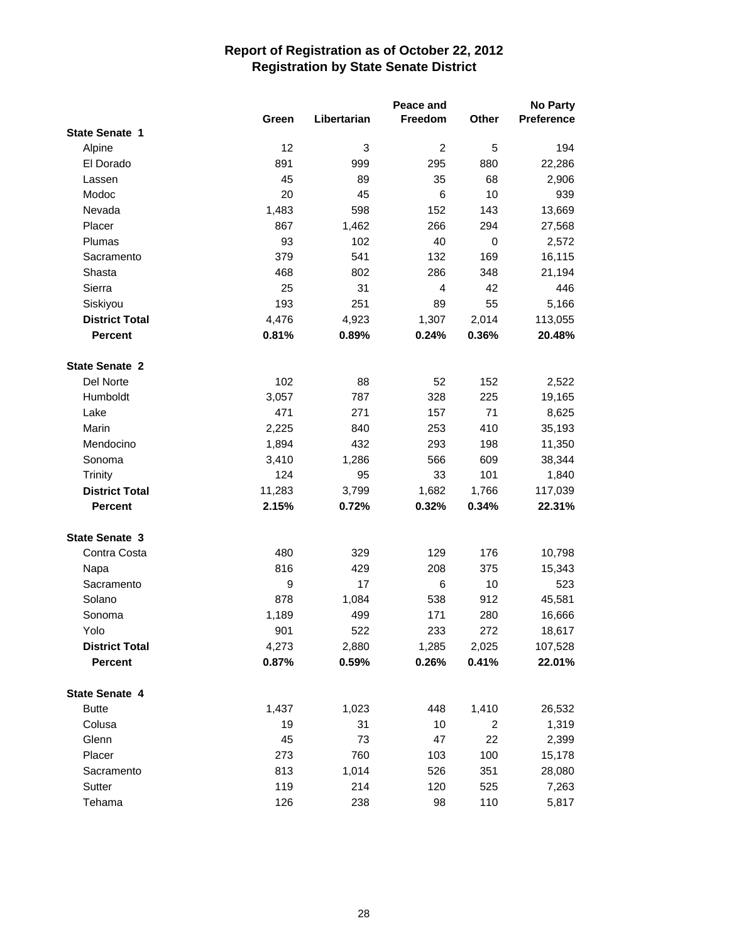|                       |        |             | Peace and      |       | <b>No Party</b>   |
|-----------------------|--------|-------------|----------------|-------|-------------------|
|                       | Green  | Libertarian | Freedom        | Other | <b>Preference</b> |
| <b>State Senate 1</b> |        |             |                |       |                   |
| Alpine                | 12     | 3           | $\overline{c}$ | 5     | 194               |
| El Dorado             | 891    | 999         | 295            | 880   | 22,286            |
| Lassen                | 45     | 89          | 35             | 68    | 2,906             |
| Modoc                 | 20     | 45          | 6              | 10    | 939               |
| Nevada                | 1,483  | 598         | 152            | 143   | 13,669            |
| Placer                | 867    | 1,462       | 266            | 294   | 27,568            |
| Plumas                | 93     | 102         | 40             | 0     | 2,572             |
| Sacramento            | 379    | 541         | 132            | 169   | 16,115            |
| Shasta                | 468    | 802         | 286            | 348   | 21,194            |
| Sierra                | 25     | 31          | 4              | 42    | 446               |
| Siskiyou              | 193    | 251         | 89             | 55    | 5,166             |
| <b>District Total</b> | 4,476  | 4,923       | 1,307          | 2,014 | 113,055           |
| <b>Percent</b>        | 0.81%  | 0.89%       | 0.24%          | 0.36% | 20.48%            |
| <b>State Senate 2</b> |        |             |                |       |                   |
| Del Norte             | 102    | 88          | 52             | 152   | 2,522             |
| Humboldt              | 3,057  | 787         | 328            | 225   | 19,165            |
| Lake                  | 471    | 271         | 157            | 71    | 8,625             |
| Marin                 | 2,225  | 840         | 253            | 410   | 35,193            |
| Mendocino             | 1,894  | 432         | 293            | 198   | 11,350            |
| Sonoma                | 3,410  | 1,286       | 566            | 609   | 38,344            |
| Trinity               | 124    | 95          | 33             | 101   | 1,840             |
| <b>District Total</b> | 11,283 | 3,799       | 1,682          | 1,766 | 117,039           |
| <b>Percent</b>        | 2.15%  | 0.72%       | 0.32%          | 0.34% | 22.31%            |
| <b>State Senate 3</b> |        |             |                |       |                   |
| Contra Costa          | 480    | 329         | 129            | 176   | 10,798            |
| Napa                  | 816    | 429         | 208            | 375   | 15,343            |
| Sacramento            | 9      | 17          | 6              | 10    | 523               |
| Solano                | 878    | 1,084       | 538            | 912   | 45,581            |
| Sonoma                | 1,189  | 499         | 171            | 280   | 16,666            |
| Yolo                  | 901    | 522         | 233            | 272   | 18,617            |
| <b>District Total</b> | 4,273  | 2,880       | 1,285          | 2,025 | 107,528           |
| <b>Percent</b>        | 0.87%  | 0.59%       | 0.26%          | 0.41% | 22.01%            |
| State Senate 4        |        |             |                |       |                   |
| <b>Butte</b>          | 1,437  | 1,023       | 448            | 1,410 | 26,532            |
| Colusa                | 19     | 31          | 10             | 2     | 1,319             |
| Glenn                 | 45     | 73          | 47             | 22    | 2,399             |
| Placer                | 273    | 760         | 103            | 100   | 15,178            |
| Sacramento            | 813    | 1,014       | 526            | 351   | 28,080            |
| Sutter                | 119    | 214         | 120            | 525   | 7,263             |
| Tehama                | 126    | 238         | 98             | 110   | 5,817             |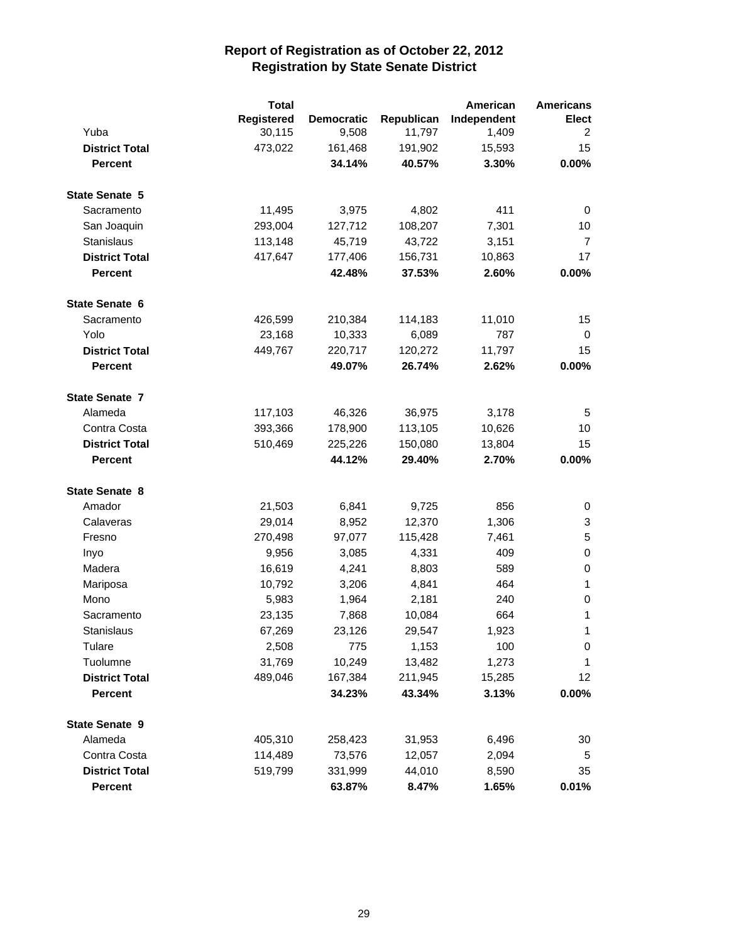|                       | <b>Total</b> |                   |            | American    | <b>Americans</b> |
|-----------------------|--------------|-------------------|------------|-------------|------------------|
|                       | Registered   | <b>Democratic</b> | Republican | Independent | <b>Elect</b>     |
| Yuba                  | 30,115       | 9,508             | 11,797     | 1,409       | 2                |
| <b>District Total</b> | 473,022      | 161,468           | 191,902    | 15,593      | 15               |
| Percent               |              | 34.14%            | 40.57%     | 3.30%       | 0.00%            |
| <b>State Senate 5</b> |              |                   |            |             |                  |
| Sacramento            | 11,495       | 3,975             | 4,802      | 411         | 0                |
| San Joaquin           | 293,004      | 127,712           | 108,207    | 7,301       | 10               |
| Stanislaus            | 113,148      | 45,719            | 43,722     | 3,151       | 7                |
| <b>District Total</b> | 417,647      | 177,406           | 156,731    | 10,863      | 17               |
| <b>Percent</b>        |              | 42.48%            | 37.53%     | 2.60%       | 0.00%            |
| <b>State Senate 6</b> |              |                   |            |             |                  |
| Sacramento            | 426,599      | 210,384           | 114,183    | 11,010      | 15               |
| Yolo                  | 23,168       | 10,333            | 6,089      | 787         | 0                |
| <b>District Total</b> | 449,767      | 220,717           | 120,272    | 11,797      | 15               |
| <b>Percent</b>        |              | 49.07%            | 26.74%     | 2.62%       | 0.00%            |
| <b>State Senate 7</b> |              |                   |            |             |                  |
| Alameda               | 117,103      | 46,326            | 36,975     | 3,178       | 5                |
| Contra Costa          | 393,366      | 178,900           | 113,105    | 10,626      | 10               |
| <b>District Total</b> | 510,469      | 225,226           | 150,080    | 13,804      | 15               |
| <b>Percent</b>        |              | 44.12%            | 29.40%     | 2.70%       | 0.00%            |
| <b>State Senate 8</b> |              |                   |            |             |                  |
| Amador                | 21,503       | 6,841             | 9,725      | 856         | 0                |
| Calaveras             | 29,014       | 8,952             | 12,370     | 1,306       | 3                |
| Fresno                | 270,498      | 97,077            | 115,428    | 7,461       | 5                |
| Inyo                  | 9,956        | 3,085             | 4,331      | 409         | 0                |
| Madera                | 16,619       | 4,241             | 8,803      | 589         | 0                |
| Mariposa              | 10,792       | 3,206             | 4,841      | 464         | $\mathbf{1}$     |
| Mono                  | 5,983        | 1,964             | 2,181      | 240         | 0                |
| Sacramento            | 23,135       | 7,868             | 10,084     | 664         | 1                |
| Stanislaus            | 67,269       | 23,126            | 29,547     | 1,923       | 1                |
| Tulare                | 2,508        | 775               | 1,153      | 100         | 0                |
| Tuolumne              | 31,769       | 10,249            | 13,482     | 1,273       | 1                |
| <b>District Total</b> | 489,046      | 167,384           | 211,945    | 15,285      | 12               |
| <b>Percent</b>        |              | 34.23%            | 43.34%     | 3.13%       | $0.00\%$         |
| <b>State Senate 9</b> |              |                   |            |             |                  |
| Alameda               | 405,310      | 258,423           | 31,953     | 6,496       | 30               |
| Contra Costa          | 114,489      | 73,576            | 12,057     | 2,094       | 5                |
| <b>District Total</b> | 519,799      | 331,999           | 44,010     | 8,590       | 35               |
| Percent               |              | 63.87%            | 8.47%      | 1.65%       | 0.01%            |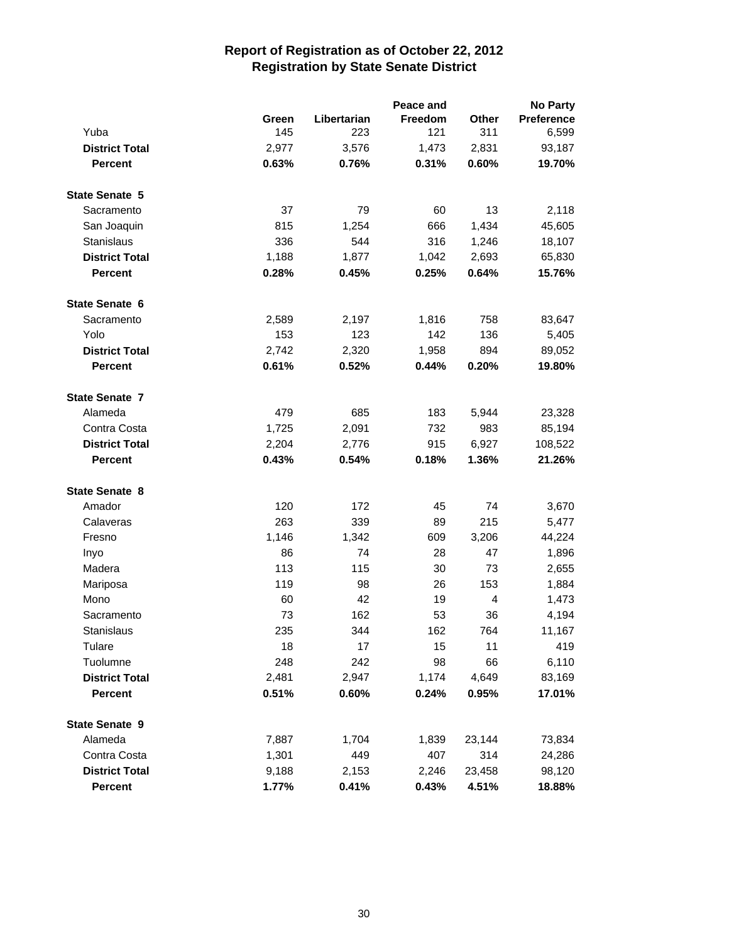|                       |       |             | Peace and |                | <b>No Party</b> |
|-----------------------|-------|-------------|-----------|----------------|-----------------|
|                       | Green | Libertarian | Freedom   | Other          | Preference      |
| Yuba                  | 145   | 223         | 121       | 311            | 6,599           |
| <b>District Total</b> | 2,977 | 3,576       | 1,473     | 2,831          | 93,187          |
| Percent               | 0.63% | 0.76%       | 0.31%     | 0.60%          | 19.70%          |
| <b>State Senate 5</b> |       |             |           |                |                 |
| Sacramento            | 37    | 79          | 60        | 13             | 2,118           |
| San Joaquin           | 815   | 1,254       | 666       | 1,434          | 45,605          |
| Stanislaus            | 336   | 544         | 316       | 1,246          | 18,107          |
| <b>District Total</b> | 1,188 | 1,877       | 1,042     | 2,693          | 65,830          |
| <b>Percent</b>        | 0.28% | 0.45%       | 0.25%     | 0.64%          | 15.76%          |
| <b>State Senate 6</b> |       |             |           |                |                 |
| Sacramento            | 2,589 | 2,197       | 1,816     | 758            | 83,647          |
| Yolo                  | 153   | 123         | 142       | 136            | 5,405           |
| <b>District Total</b> | 2,742 | 2,320       | 1,958     | 894            | 89,052          |
| <b>Percent</b>        | 0.61% | 0.52%       | 0.44%     | 0.20%          | 19.80%          |
| <b>State Senate 7</b> |       |             |           |                |                 |
| Alameda               | 479   | 685         | 183       | 5,944          | 23,328          |
| Contra Costa          | 1,725 | 2,091       | 732       | 983            | 85,194          |
| <b>District Total</b> | 2,204 | 2,776       | 915       | 6,927          | 108,522         |
| <b>Percent</b>        | 0.43% | 0.54%       | 0.18%     | 1.36%          | 21.26%          |
| <b>State Senate 8</b> |       |             |           |                |                 |
| Amador                | 120   | 172         | 45        | 74             | 3,670           |
| Calaveras             | 263   | 339         | 89        | 215            | 5,477           |
| Fresno                | 1,146 | 1,342       | 609       | 3,206          | 44,224          |
| Inyo                  | 86    | 74          | 28        | 47             | 1,896           |
| Madera                | 113   | 115         | 30        | 73             | 2,655           |
| Mariposa              | 119   | 98          | 26        | 153            | 1,884           |
| Mono                  | 60    | 42          | 19        | $\overline{4}$ | 1,473           |
| Sacramento            | 73    | 162         | 53        | 36             | 4,194           |
| Stanislaus            | 235   | 344         | 162       | 764            | 11.167          |
| Tulare                | 18    | 17          | 15        | 11             | 419             |
| Tuolumne              | 248   | 242         | 98        | 66             | 6,110           |
| <b>District Total</b> | 2,481 | 2,947       | 1,174     | 4,649          | 83,169          |
| <b>Percent</b>        | 0.51% | 0.60%       | 0.24%     | 0.95%          | 17.01%          |
| <b>State Senate 9</b> |       |             |           |                |                 |
| Alameda               | 7,887 | 1,704       | 1,839     | 23,144         | 73,834          |
| Contra Costa          | 1,301 | 449         | 407       | 314            | 24,286          |
| <b>District Total</b> | 9,188 | 2,153       | 2,246     | 23,458         | 98,120          |
| <b>Percent</b>        | 1.77% | 0.41%       | 0.43%     | 4.51%          | 18.88%          |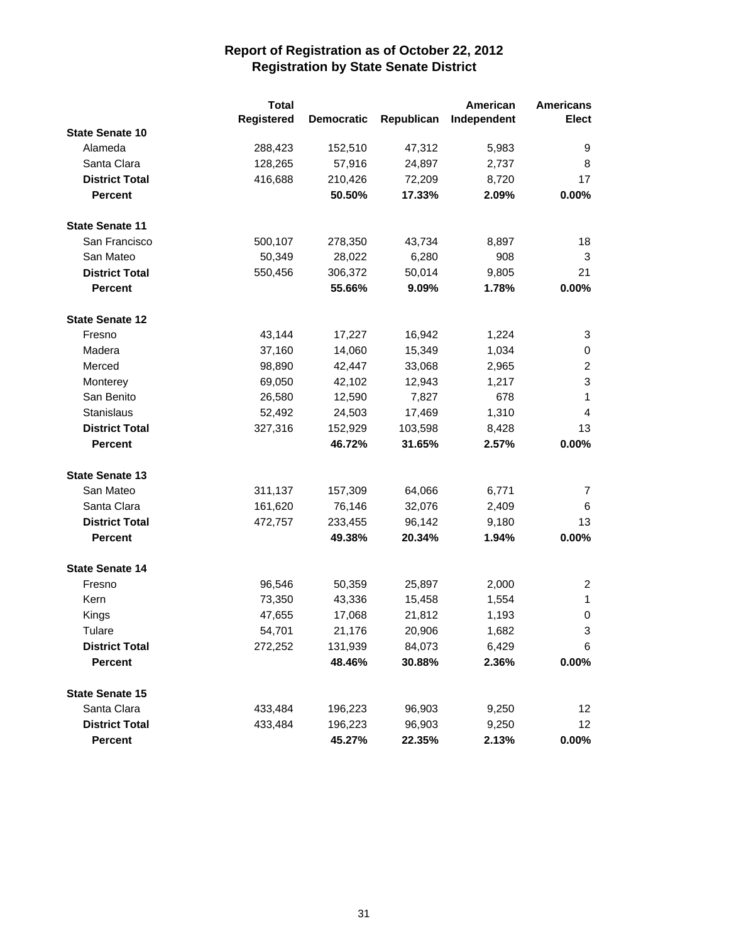|                        | <b>Total</b>      |                   |            | American    | <b>Americans</b> |
|------------------------|-------------------|-------------------|------------|-------------|------------------|
|                        | <b>Registered</b> | <b>Democratic</b> | Republican | Independent | <b>Elect</b>     |
| <b>State Senate 10</b> |                   |                   |            |             |                  |
| Alameda                | 288,423           | 152,510           | 47,312     | 5,983       | 9                |
| Santa Clara            | 128,265           | 57,916            | 24,897     | 2,737       | 8                |
| <b>District Total</b>  | 416,688           | 210,426           | 72,209     | 8,720       | 17               |
| <b>Percent</b>         |                   | 50.50%            | 17.33%     | 2.09%       | 0.00%            |
| <b>State Senate 11</b> |                   |                   |            |             |                  |
| San Francisco          | 500,107           | 278,350           | 43,734     | 8,897       | 18               |
| San Mateo              | 50,349            | 28,022            | 6,280      | 908         | 3                |
| <b>District Total</b>  | 550,456           | 306,372           | 50,014     | 9,805       | 21               |
| <b>Percent</b>         |                   | 55.66%            | 9.09%      | 1.78%       | 0.00%            |
| <b>State Senate 12</b> |                   |                   |            |             |                  |
| Fresno                 | 43,144            | 17,227            | 16,942     | 1,224       | 3                |
| Madera                 | 37,160            | 14,060            | 15,349     | 1,034       | 0                |
| Merced                 | 98,890            | 42,447            | 33,068     | 2,965       | $\overline{c}$   |
| Monterey               | 69,050            | 42,102            | 12,943     | 1,217       | 3                |
| San Benito             | 26,580            | 12,590            | 7,827      | 678         | 1                |
| Stanislaus             | 52,492            | 24,503            | 17,469     | 1,310       | 4                |
| <b>District Total</b>  | 327,316           | 152,929           | 103,598    | 8,428       | 13               |
| <b>Percent</b>         |                   | 46.72%            | 31.65%     | 2.57%       | 0.00%            |
| <b>State Senate 13</b> |                   |                   |            |             |                  |
| San Mateo              | 311,137           | 157,309           | 64,066     | 6,771       | 7                |
| Santa Clara            | 161,620           | 76,146            | 32,076     | 2,409       | 6                |
| <b>District Total</b>  | 472,757           | 233,455           | 96,142     | 9,180       | 13               |
| <b>Percent</b>         |                   | 49.38%            | 20.34%     | 1.94%       | 0.00%            |
| <b>State Senate 14</b> |                   |                   |            |             |                  |
| Fresno                 | 96,546            | 50,359            | 25,897     | 2,000       | $\overline{2}$   |
| Kern                   | 73,350            | 43,336            | 15,458     | 1,554       | 1                |
| Kings                  | 47,655            | 17,068            | 21,812     | 1,193       | 0                |
| Tulare                 | 54,701            | 21,176            | 20,906     | 1,682       | 3                |
| <b>District Total</b>  | 272,252           | 131,939           | 84,073     | 6,429       | 6                |
| <b>Percent</b>         |                   | 48.46%            | 30.88%     | 2.36%       | $0.00\%$         |
| <b>State Senate 15</b> |                   |                   |            |             |                  |
| Santa Clara            | 433,484           | 196,223           | 96,903     | 9,250       | 12 <sub>2</sub>  |
| <b>District Total</b>  | 433,484           | 196,223           | 96,903     | 9,250       | 12 <sub>2</sub>  |
| <b>Percent</b>         |                   | 45.27%            | 22.35%     | 2.13%       | $0.00\%$         |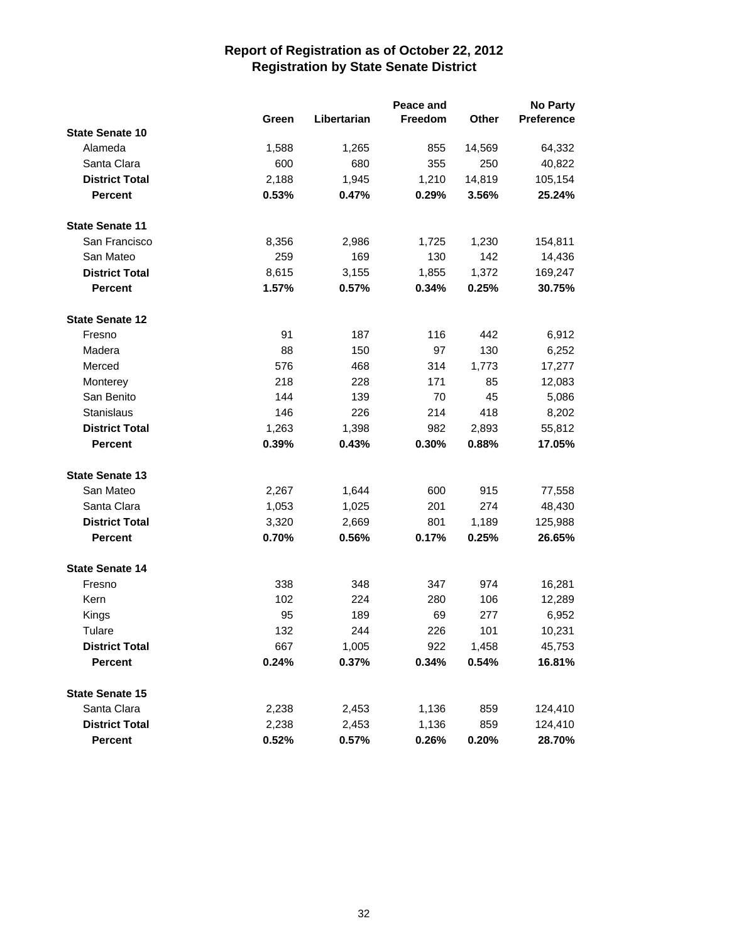|                        |       |             | Peace and |        | No Party          |
|------------------------|-------|-------------|-----------|--------|-------------------|
|                        | Green | Libertarian | Freedom   | Other  | <b>Preference</b> |
| <b>State Senate 10</b> |       |             |           |        |                   |
| Alameda                | 1,588 | 1,265       | 855       | 14,569 | 64,332            |
| Santa Clara            | 600   | 680         | 355       | 250    | 40,822            |
| <b>District Total</b>  | 2,188 | 1,945       | 1,210     | 14,819 | 105,154           |
| <b>Percent</b>         | 0.53% | 0.47%       | 0.29%     | 3.56%  | 25.24%            |
| <b>State Senate 11</b> |       |             |           |        |                   |
| San Francisco          | 8,356 | 2,986       | 1,725     | 1,230  | 154,811           |
| San Mateo              | 259   | 169         | 130       | 142    | 14,436            |
| <b>District Total</b>  | 8,615 | 3,155       | 1,855     | 1,372  | 169,247           |
| <b>Percent</b>         | 1.57% | 0.57%       | 0.34%     | 0.25%  | 30.75%            |
| <b>State Senate 12</b> |       |             |           |        |                   |
| Fresno                 | 91    | 187         | 116       | 442    | 6,912             |
| Madera                 | 88    | 150         | 97        | 130    | 6,252             |
| Merced                 | 576   | 468         | 314       | 1,773  | 17,277            |
| Monterey               | 218   | 228         | 171       | 85     | 12,083            |
| San Benito             | 144   | 139         | 70        | 45     | 5,086             |
| Stanislaus             | 146   | 226         | 214       | 418    | 8,202             |
| <b>District Total</b>  | 1,263 | 1,398       | 982       | 2,893  | 55,812            |
| <b>Percent</b>         | 0.39% | 0.43%       | 0.30%     | 0.88%  | 17.05%            |
| <b>State Senate 13</b> |       |             |           |        |                   |
| San Mateo              | 2,267 | 1,644       | 600       | 915    | 77,558            |
| Santa Clara            | 1,053 | 1,025       | 201       | 274    | 48,430            |
| <b>District Total</b>  | 3,320 | 2,669       | 801       | 1,189  | 125,988           |
| <b>Percent</b>         | 0.70% | 0.56%       | 0.17%     | 0.25%  | 26.65%            |
| <b>State Senate 14</b> |       |             |           |        |                   |
| Fresno                 | 338   | 348         | 347       | 974    | 16,281            |
| Kern                   | 102   | 224         | 280       | 106    | 12,289            |
| Kings                  | 95    | 189         | 69        | 277    | 6,952             |
| Tulare                 | 132   | 244         | 226       | 101    | 10,231            |
| <b>District Total</b>  | 667   | 1,005       | 922       | 1,458  | 45,753            |
| <b>Percent</b>         | 0.24% | 0.37%       | 0.34%     | 0.54%  | 16.81%            |
| <b>State Senate 15</b> |       |             |           |        |                   |
| Santa Clara            | 2,238 | 2,453       | 1,136     | 859    | 124,410           |
| <b>District Total</b>  | 2,238 | 2,453       | 1,136     | 859    | 124,410           |
| Percent                | 0.52% | 0.57%       | 0.26%     | 0.20%  | 28.70%            |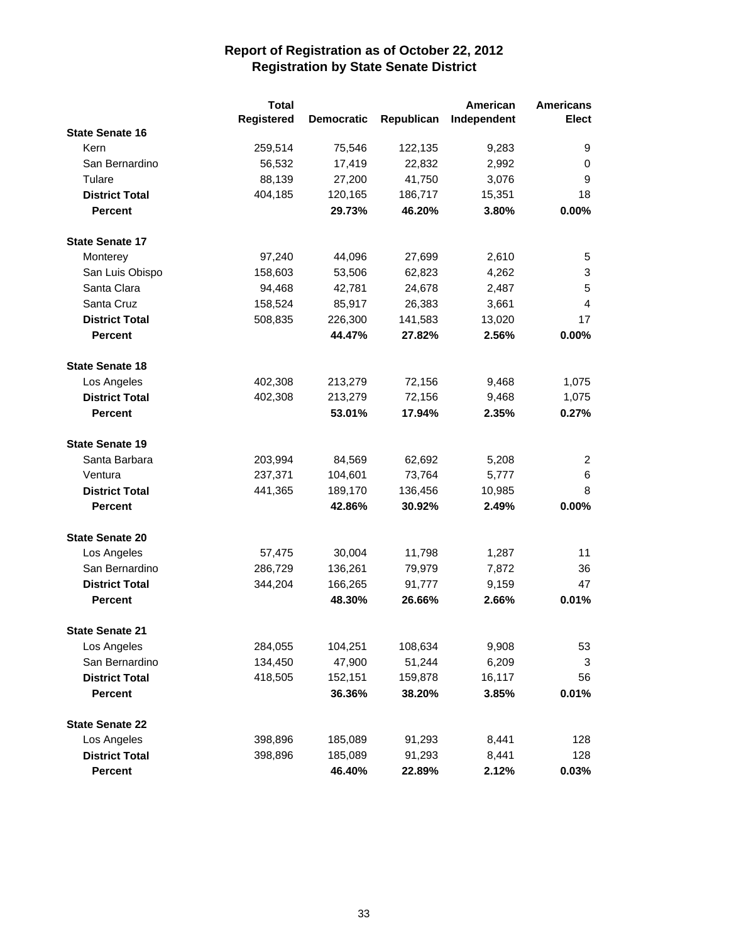|                        | <b>Total</b>      |                   |            | American    | <b>Americans</b> |
|------------------------|-------------------|-------------------|------------|-------------|------------------|
|                        | <b>Registered</b> | <b>Democratic</b> | Republican | Independent | <b>Elect</b>     |
| <b>State Senate 16</b> |                   |                   |            |             |                  |
| Kern                   | 259,514           | 75,546            | 122,135    | 9,283       | 9                |
| San Bernardino         | 56,532            | 17,419            | 22,832     | 2,992       | 0                |
| Tulare                 | 88,139            | 27,200            | 41,750     | 3,076       | 9                |
| <b>District Total</b>  | 404,185           | 120,165           | 186,717    | 15,351      | 18               |
| <b>Percent</b>         |                   | 29.73%            | 46.20%     | 3.80%       | 0.00%            |
| <b>State Senate 17</b> |                   |                   |            |             |                  |
| Monterey               | 97,240            | 44,096            | 27,699     | 2,610       | 5                |
| San Luis Obispo        | 158,603           | 53,506            | 62,823     | 4,262       | 3                |
| Santa Clara            | 94,468            | 42,781            | 24,678     | 2,487       | 5                |
| Santa Cruz             | 158,524           | 85,917            | 26,383     | 3,661       | $\overline{4}$   |
| <b>District Total</b>  | 508,835           | 226,300           | 141,583    | 13,020      | 17               |
| <b>Percent</b>         |                   | 44.47%            | 27.82%     | 2.56%       | $0.00\%$         |
| <b>State Senate 18</b> |                   |                   |            |             |                  |
| Los Angeles            | 402,308           | 213,279           | 72,156     | 9,468       | 1,075            |
| <b>District Total</b>  | 402,308           | 213,279           | 72,156     | 9,468       | 1,075            |
| <b>Percent</b>         |                   | 53.01%            | 17.94%     | 2.35%       | 0.27%            |
| <b>State Senate 19</b> |                   |                   |            |             |                  |
| Santa Barbara          | 203,994           | 84,569            | 62,692     | 5,208       | 2                |
| Ventura                | 237,371           | 104,601           | 73,764     | 5,777       | 6                |
| <b>District Total</b>  | 441,365           | 189,170           | 136,456    | 10,985      | 8                |
| <b>Percent</b>         |                   | 42.86%            | 30.92%     | 2.49%       | $0.00\%$         |
| <b>State Senate 20</b> |                   |                   |            |             |                  |
| Los Angeles            | 57,475            | 30,004            | 11,798     | 1,287       | 11               |
| San Bernardino         | 286,729           | 136,261           | 79,979     | 7,872       | 36               |
| <b>District Total</b>  | 344,204           | 166,265           | 91,777     | 9,159       | 47               |
| <b>Percent</b>         |                   | 48.30%            | 26.66%     | 2.66%       | 0.01%            |
| <b>State Senate 21</b> |                   |                   |            |             |                  |
| Los Angeles            | 284,055           | 104,251           | 108,634    | 9,908       | 53               |
| San Bernardino         | 134,450           | 47,900            | 51,244     | 6,209       | 3                |
| <b>District Total</b>  | 418,505           | 152,151           | 159,878    | 16,117      | 56               |
| <b>Percent</b>         |                   | 36.36%            | 38.20%     | 3.85%       | 0.01%            |
| <b>State Senate 22</b> |                   |                   |            |             |                  |
| Los Angeles            | 398,896           | 185,089           | 91,293     | 8,441       | 128              |
| <b>District Total</b>  | 398,896           | 185,089           | 91,293     | 8,441       | 128              |
| Percent                |                   | 46.40%            | 22.89%     | 2.12%       | $0.03\%$         |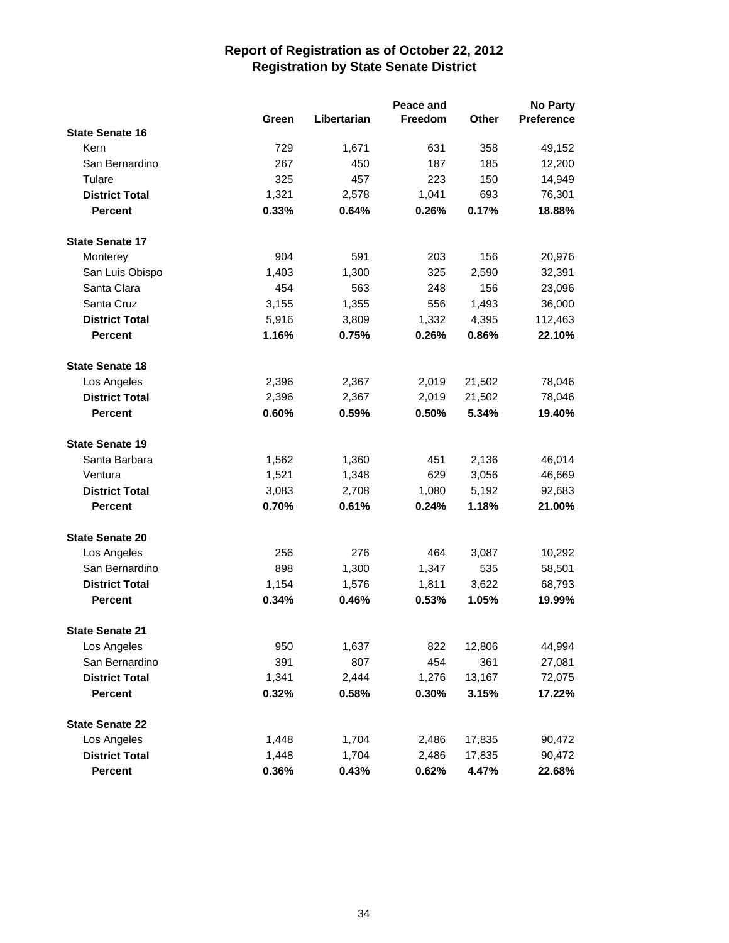|                               |                | Peace and      |                |                |                  |
|-------------------------------|----------------|----------------|----------------|----------------|------------------|
|                               | Green          | Libertarian    | <b>Freedom</b> | <b>Other</b>   | Preference       |
| <b>State Senate 16</b>        |                |                |                |                |                  |
| Kern                          | 729            | 1,671          | 631            | 358            | 49,152           |
| San Bernardino                | 267            | 450            | 187            | 185            | 12,200           |
| Tulare                        | 325            | 457            | 223            | 150            | 14,949           |
| <b>District Total</b>         | 1,321          | 2,578          | 1,041          | 693            | 76,301           |
| <b>Percent</b>                | 0.33%          | 0.64%          | 0.26%          | 0.17%          | 18.88%           |
| <b>State Senate 17</b>        |                |                |                |                |                  |
| Monterey                      | 904            | 591            | 203            | 156            | 20,976           |
| San Luis Obispo               | 1,403          | 1,300          | 325            | 2,590          | 32,391           |
| Santa Clara                   | 454            | 563            | 248            | 156            | 23,096           |
| Santa Cruz                    | 3,155          | 1,355          | 556            | 1,493          | 36,000           |
| <b>District Total</b>         | 5,916          | 3,809          | 1,332          | 4,395          | 112,463          |
| <b>Percent</b>                | 1.16%          | 0.75%          | 0.26%          | 0.86%          | 22.10%           |
| <b>State Senate 18</b>        |                |                |                |                |                  |
| Los Angeles                   | 2,396          | 2,367          | 2,019          | 21,502         | 78,046           |
| <b>District Total</b>         | 2,396          | 2,367          | 2,019          | 21,502         | 78,046           |
| <b>Percent</b>                | 0.60%          | 0.59%          | 0.50%          | 5.34%          | 19.40%           |
| <b>State Senate 19</b>        |                |                |                |                |                  |
| Santa Barbara                 | 1,562          | 1,360          | 451            | 2,136          | 46,014           |
| Ventura                       | 1,521          | 1,348          | 629            | 3,056          | 46,669           |
| <b>District Total</b>         | 3,083          | 2,708          | 1,080          | 5,192          | 92,683           |
| <b>Percent</b>                | 0.70%          | 0.61%          | 0.24%          | 1.18%          | 21.00%           |
| <b>State Senate 20</b>        |                |                |                |                |                  |
|                               | 256            | 276            | 464            |                |                  |
| Los Angeles<br>San Bernardino | 898            |                |                | 3,087<br>535   | 10,292<br>58,501 |
| <b>District Total</b>         |                | 1,300          | 1,347          |                |                  |
| <b>Percent</b>                | 1,154<br>0.34% | 1,576<br>0.46% | 1,811<br>0.53% | 3,622<br>1.05% | 68,793<br>19.99% |
|                               |                |                |                |                |                  |
| <b>State Senate 21</b>        |                |                |                |                |                  |
| Los Angeles                   | 950            | 1,637          | 822            | 12,806         | 44,994           |
| San Bernardino                | 391            | 807            | 454            | 361            | 27,081           |
| <b>District Total</b>         | 1,341          | 2,444          | 1,276          | 13,167         | 72,075           |
| <b>Percent</b>                | 0.32%          | 0.58%          | 0.30%          | 3.15%          | 17.22%           |
| <b>State Senate 22</b>        |                |                |                |                |                  |
| Los Angeles                   | 1,448          | 1,704          | 2,486          | 17,835         | 90,472           |
| <b>District Total</b>         | 1,448          | 1,704          | 2,486          | 17,835         | 90,472           |
| Percent                       | 0.36%          | 0.43%          | 0.62%          | 4.47%          | 22.68%           |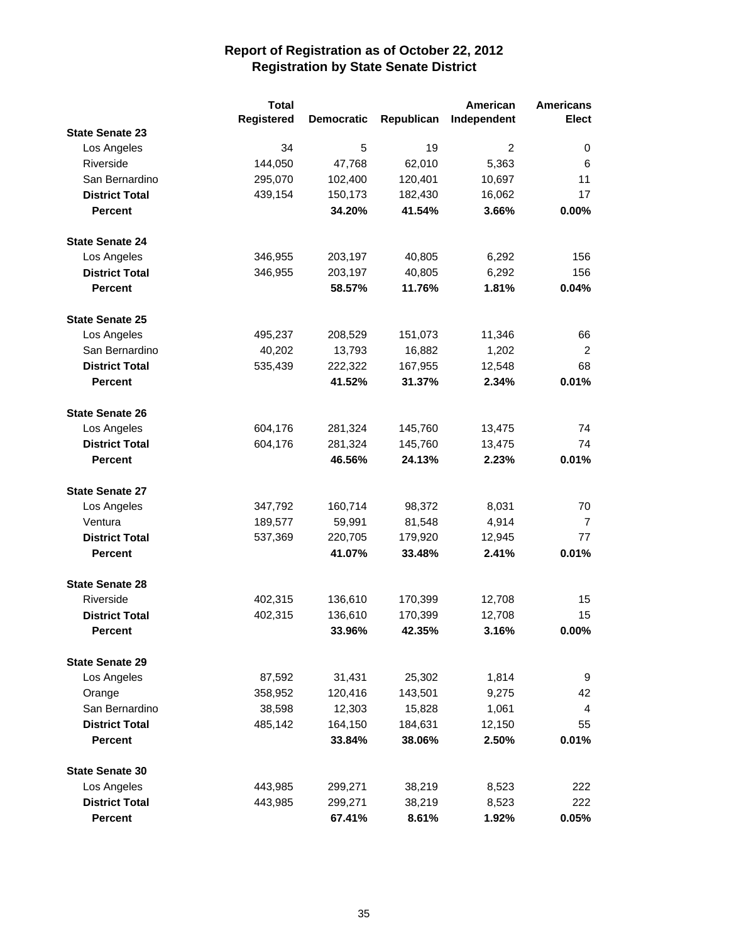|                        | <b>Total</b>      |                   |            | American    | <b>Americans</b> |
|------------------------|-------------------|-------------------|------------|-------------|------------------|
|                        | <b>Registered</b> | <b>Democratic</b> | Republican | Independent | Elect            |
| <b>State Senate 23</b> |                   |                   |            |             |                  |
| Los Angeles            | 34                | 5                 | 19         | 2           | 0                |
| Riverside              | 144,050           | 47,768            | 62,010     | 5,363       | 6                |
| San Bernardino         | 295,070           | 102,400           | 120,401    | 10,697      | 11               |
| <b>District Total</b>  | 439,154           | 150,173           | 182,430    | 16,062      | 17               |
| <b>Percent</b>         |                   | 34.20%            | 41.54%     | 3.66%       | 0.00%            |
| <b>State Senate 24</b> |                   |                   |            |             |                  |
| Los Angeles            | 346,955           | 203,197           | 40,805     | 6,292       | 156              |
| <b>District Total</b>  | 346,955           | 203,197           | 40,805     | 6,292       | 156              |
| <b>Percent</b>         |                   | 58.57%            | 11.76%     | 1.81%       | 0.04%            |
| <b>State Senate 25</b> |                   |                   |            |             |                  |
| Los Angeles            | 495,237           | 208,529           | 151,073    | 11,346      | 66               |
| San Bernardino         | 40,202            | 13,793            | 16,882     | 1,202       | $\overline{2}$   |
| <b>District Total</b>  | 535,439           | 222,322           | 167,955    | 12,548      | 68               |
| <b>Percent</b>         |                   | 41.52%            | 31.37%     | 2.34%       | 0.01%            |
| <b>State Senate 26</b> |                   |                   |            |             |                  |
| Los Angeles            | 604,176           | 281,324           | 145,760    | 13,475      | 74               |
| <b>District Total</b>  | 604,176           | 281,324           | 145,760    | 13,475      | 74               |
| <b>Percent</b>         |                   | 46.56%            | 24.13%     | 2.23%       | 0.01%            |
| <b>State Senate 27</b> |                   |                   |            |             |                  |
| Los Angeles            | 347,792           | 160,714           | 98,372     | 8,031       | 70               |
| Ventura                | 189,577           | 59,991            | 81,548     | 4,914       | $\overline{7}$   |
| <b>District Total</b>  | 537,369           | 220,705           | 179,920    | 12,945      | 77               |
| <b>Percent</b>         |                   | 41.07%            | 33.48%     | 2.41%       | 0.01%            |
| <b>State Senate 28</b> |                   |                   |            |             |                  |
| Riverside              | 402,315           | 136,610           | 170,399    | 12,708      | 15               |
| <b>District Total</b>  | 402,315           | 136,610           | 170,399    | 12,708      | 15               |
| <b>Percent</b>         |                   | 33.96%            | 42.35%     | 3.16%       | 0.00%            |
| <b>State Senate 29</b> |                   |                   |            |             |                  |
| Los Angeles            | 87,592            | 31,431            | 25,302     | 1,814       | 9                |
| Orange                 | 358,952           | 120,416           | 143,501    | 9,275       | 42               |
| San Bernardino         | 38,598            | 12,303            | 15,828     | 1,061       | 4                |
| <b>District Total</b>  | 485,142           | 164,150           | 184,631    | 12,150      | 55               |
| <b>Percent</b>         |                   | 33.84%            | 38.06%     | 2.50%       | 0.01%            |
| <b>State Senate 30</b> |                   |                   |            |             |                  |
| Los Angeles            | 443,985           | 299,271           | 38,219     | 8,523       | 222              |
| <b>District Total</b>  | 443,985           | 299,271           | 38,219     | 8,523       | 222              |
| Percent                |                   | 67.41%            | 8.61%      | 1.92%       | 0.05%            |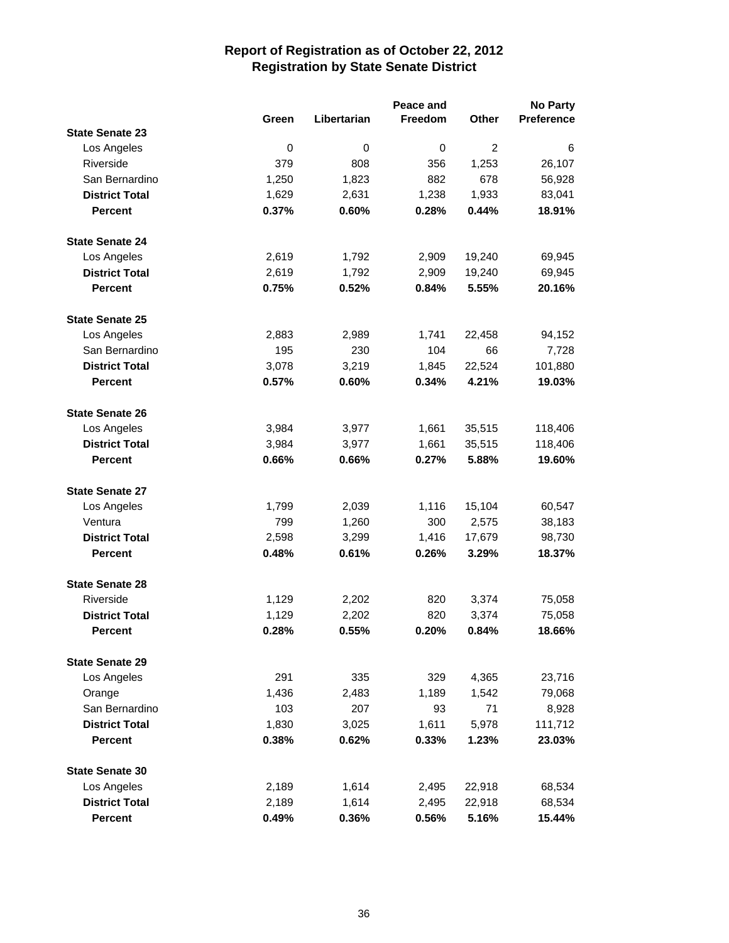|                        |       | Peace and   |         |                | <b>No Party</b>   |
|------------------------|-------|-------------|---------|----------------|-------------------|
|                        | Green | Libertarian | Freedom | Other          | <b>Preference</b> |
| <b>State Senate 23</b> |       |             |         |                |                   |
| Los Angeles            | 0     | 0           | 0       | $\overline{c}$ | 6                 |
| Riverside              | 379   | 808         | 356     | 1,253          | 26,107            |
| San Bernardino         | 1,250 | 1,823       | 882     | 678            | 56,928            |
| <b>District Total</b>  | 1,629 | 2,631       | 1,238   | 1,933          | 83,041            |
| <b>Percent</b>         | 0.37% | 0.60%       | 0.28%   | 0.44%          | 18.91%            |
| <b>State Senate 24</b> |       |             |         |                |                   |
| Los Angeles            | 2,619 | 1,792       | 2,909   | 19,240         | 69,945            |
| <b>District Total</b>  | 2,619 | 1,792       | 2,909   | 19,240         | 69,945            |
| <b>Percent</b>         | 0.75% | 0.52%       | 0.84%   | 5.55%          | 20.16%            |
| <b>State Senate 25</b> |       |             |         |                |                   |
| Los Angeles            | 2,883 | 2,989       | 1,741   | 22,458         | 94,152            |
| San Bernardino         | 195   | 230         | 104     | 66             | 7,728             |
| <b>District Total</b>  | 3,078 | 3,219       | 1,845   | 22,524         | 101,880           |
| <b>Percent</b>         | 0.57% | 0.60%       | 0.34%   | 4.21%          | 19.03%            |
| <b>State Senate 26</b> |       |             |         |                |                   |
| Los Angeles            | 3,984 | 3,977       | 1,661   | 35,515         | 118,406           |
| <b>District Total</b>  | 3,984 | 3,977       | 1,661   | 35,515         | 118,406           |
| <b>Percent</b>         | 0.66% | 0.66%       | 0.27%   | 5.88%          | 19.60%            |
| <b>State Senate 27</b> |       |             |         |                |                   |
| Los Angeles            | 1,799 | 2,039       | 1,116   | 15,104         | 60,547            |
| Ventura                | 799   | 1,260       | 300     | 2,575          | 38,183            |
| <b>District Total</b>  | 2,598 | 3,299       | 1,416   | 17,679         | 98,730            |
| <b>Percent</b>         | 0.48% | 0.61%       | 0.26%   | 3.29%          | 18.37%            |
| <b>State Senate 28</b> |       |             |         |                |                   |
| Riverside              | 1,129 | 2,202       | 820     | 3,374          | 75,058            |
| <b>District Total</b>  | 1,129 | 2,202       | 820     | 3,374          | 75,058            |
| <b>Percent</b>         | 0.28% | 0.55%       | 0.20%   | 0.84%          | 18.66%            |
| <b>State Senate 29</b> |       |             |         |                |                   |
| Los Angeles            | 291   | 335         | 329     | 4,365          | 23,716            |
| Orange                 | 1,436 | 2,483       | 1,189   | 1,542          | 79,068            |
| San Bernardino         | 103   | 207         | 93      | 71             | 8,928             |
| <b>District Total</b>  | 1,830 | 3,025       | 1,611   | 5,978          | 111,712           |
| <b>Percent</b>         | 0.38% | 0.62%       | 0.33%   | 1.23%          | 23.03%            |
| <b>State Senate 30</b> |       |             |         |                |                   |
| Los Angeles            | 2,189 | 1,614       | 2,495   | 22,918         | 68,534            |
| <b>District Total</b>  | 2,189 | 1,614       | 2,495   | 22,918         | 68,534            |
| Percent                | 0.49% | 0.36%       | 0.56%   | 5.16%          | 15.44%            |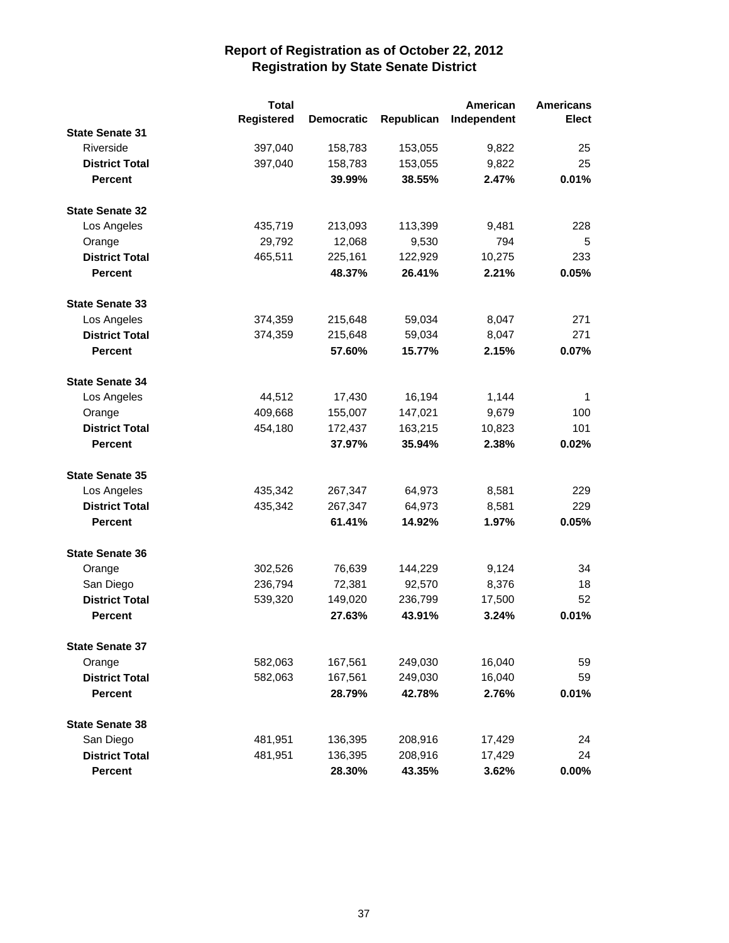|                        | <b>Total</b>      |                   |            | American    | <b>Americans</b> |
|------------------------|-------------------|-------------------|------------|-------------|------------------|
|                        | <b>Registered</b> | <b>Democratic</b> | Republican | Independent | Elect            |
| <b>State Senate 31</b> |                   |                   |            |             |                  |
| Riverside              | 397,040           | 158,783           | 153,055    | 9,822       | 25               |
| <b>District Total</b>  | 397,040           | 158,783           | 153,055    | 9,822       | 25               |
| <b>Percent</b>         |                   | 39.99%            | 38.55%     | 2.47%       | 0.01%            |
| <b>State Senate 32</b> |                   |                   |            |             |                  |
| Los Angeles            | 435,719           | 213,093           | 113,399    | 9,481       | 228              |
| Orange                 | 29,792            | 12,068            | 9,530      | 794         | 5                |
| <b>District Total</b>  | 465,511           |                   |            | 10.275      | 233              |
|                        |                   | 225,161           | 122,929    |             |                  |
| <b>Percent</b>         |                   | 48.37%            | 26.41%     | 2.21%       | 0.05%            |
| <b>State Senate 33</b> |                   |                   |            |             |                  |
| Los Angeles            | 374,359           | 215,648           | 59,034     | 8,047       | 271              |
| <b>District Total</b>  | 374,359           | 215,648           | 59,034     | 8,047       | 271              |
| <b>Percent</b>         |                   | 57.60%            | 15.77%     | 2.15%       | 0.07%            |
| <b>State Senate 34</b> |                   |                   |            |             |                  |
| Los Angeles            | 44,512            | 17,430            | 16,194     | 1,144       | 1                |
| Orange                 | 409,668           | 155,007           | 147,021    | 9,679       | 100              |
| <b>District Total</b>  | 454,180           | 172,437           | 163,215    | 10,823      | 101              |
| <b>Percent</b>         |                   | 37.97%            | 35.94%     | 2.38%       | 0.02%            |
|                        |                   |                   |            |             |                  |
| <b>State Senate 35</b> |                   |                   |            |             |                  |
| Los Angeles            | 435,342           | 267,347           | 64,973     | 8,581       | 229              |
| <b>District Total</b>  | 435,342           | 267,347           | 64,973     | 8,581       | 229              |
| <b>Percent</b>         |                   | 61.41%            | 14.92%     | 1.97%       | 0.05%            |
| <b>State Senate 36</b> |                   |                   |            |             |                  |
| Orange                 | 302,526           | 76,639            | 144,229    | 9,124       | 34               |
| San Diego              | 236,794           | 72,381            | 92,570     | 8,376       | 18               |
| <b>District Total</b>  | 539,320           | 149,020           | 236,799    | 17,500      | 52               |
| <b>Percent</b>         |                   | 27.63%            | 43.91%     | 3.24%       | 0.01%            |
| <b>State Senate 37</b> |                   |                   |            |             |                  |
| Orange                 | 582,063           | 167,561           | 249,030    | 16,040      | 59               |
| <b>District Total</b>  | 582,063           | 167,561           | 249,030    | 16,040      | 59               |
| <b>Percent</b>         |                   | 28.79%            | 42.78%     | 2.76%       | 0.01%            |
|                        |                   |                   |            |             |                  |
| <b>State Senate 38</b> |                   |                   |            |             |                  |
| San Diego              | 481,951           | 136,395           | 208,916    | 17,429      | 24               |
| <b>District Total</b>  | 481,951           | 136,395           | 208,916    | 17,429      | 24               |
| <b>Percent</b>         |                   | 28.30%            | 43.35%     | 3.62%       | $0.00\%$         |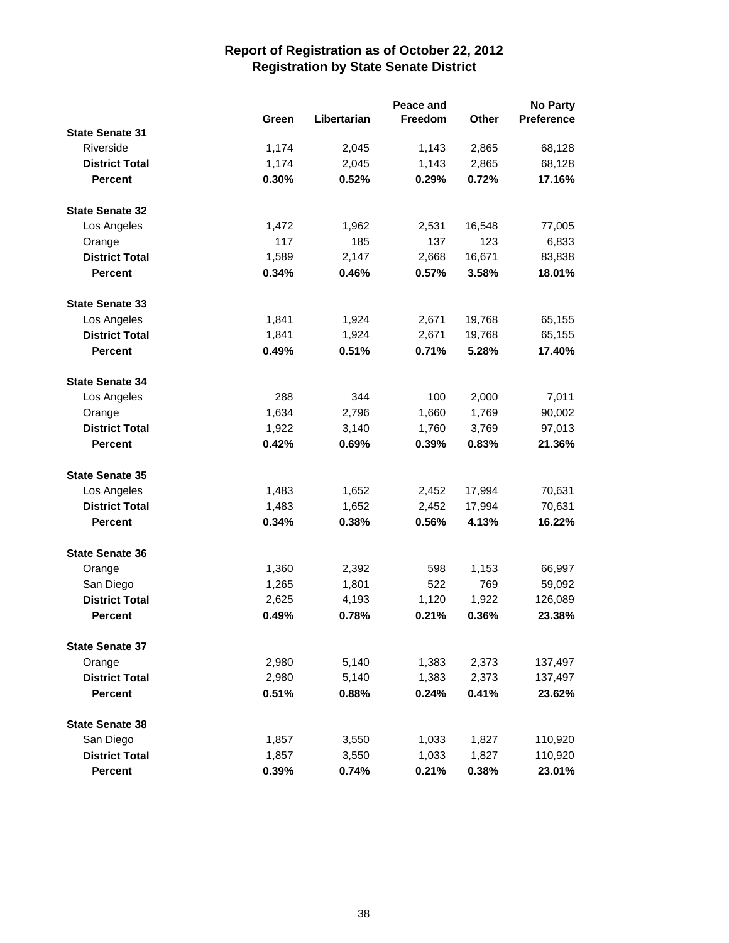|                        |       | Peace and   |         |        | <b>No Party</b>   |
|------------------------|-------|-------------|---------|--------|-------------------|
|                        | Green | Libertarian | Freedom | Other  | <b>Preference</b> |
| <b>State Senate 31</b> |       |             |         |        |                   |
| Riverside              | 1,174 | 2,045       | 1,143   | 2,865  | 68,128            |
| <b>District Total</b>  | 1,174 | 2,045       | 1,143   | 2,865  | 68,128            |
| <b>Percent</b>         | 0.30% | 0.52%       | 0.29%   | 0.72%  | 17.16%            |
| <b>State Senate 32</b> |       |             |         |        |                   |
| Los Angeles            | 1,472 | 1,962       | 2,531   | 16,548 | 77,005            |
| Orange                 | 117   | 185         | 137     | 123    | 6,833             |
| <b>District Total</b>  | 1,589 | 2,147       | 2,668   | 16,671 | 83,838            |
| <b>Percent</b>         | 0.34% | 0.46%       | 0.57%   | 3.58%  | 18.01%            |
| <b>State Senate 33</b> |       |             |         |        |                   |
| Los Angeles            | 1,841 | 1,924       | 2,671   | 19,768 | 65,155            |
| <b>District Total</b>  | 1,841 | 1,924       | 2,671   | 19,768 | 65,155            |
| <b>Percent</b>         | 0.49% | 0.51%       | 0.71%   | 5.28%  | 17.40%            |
| <b>State Senate 34</b> |       |             |         |        |                   |
| Los Angeles            | 288   | 344         | 100     | 2,000  | 7,011             |
| Orange                 | 1,634 | 2,796       | 1,660   | 1,769  | 90,002            |
| <b>District Total</b>  | 1,922 | 3,140       | 1,760   | 3,769  | 97,013            |
| <b>Percent</b>         | 0.42% | 0.69%       | 0.39%   | 0.83%  | 21.36%            |
| <b>State Senate 35</b> |       |             |         |        |                   |
| Los Angeles            | 1,483 | 1,652       | 2,452   | 17,994 | 70,631            |
| <b>District Total</b>  | 1,483 | 1,652       | 2,452   | 17,994 | 70,631            |
| <b>Percent</b>         | 0.34% | 0.38%       | 0.56%   | 4.13%  | 16.22%            |
| <b>State Senate 36</b> |       |             |         |        |                   |
| Orange                 | 1,360 | 2,392       | 598     | 1,153  | 66,997            |
| San Diego              | 1,265 | 1,801       | 522     | 769    | 59,092            |
| <b>District Total</b>  | 2,625 | 4,193       | 1,120   | 1,922  | 126,089           |
| <b>Percent</b>         | 0.49% | 0.78%       | 0.21%   | 0.36%  | 23.38%            |
| <b>State Senate 37</b> |       |             |         |        |                   |
| Orange                 | 2,980 | 5,140       | 1,383   | 2,373  | 137,497           |
| <b>District Total</b>  | 2,980 | 5,140       | 1,383   | 2,373  | 137,497           |
| <b>Percent</b>         | 0.51% | 0.88%       | 0.24%   | 0.41%  | 23.62%            |
| <b>State Senate 38</b> |       |             |         |        |                   |
| San Diego              | 1,857 | 3,550       | 1,033   | 1,827  | 110,920           |
| <b>District Total</b>  | 1,857 | 3,550       | 1,033   | 1,827  | 110,920           |
| <b>Percent</b>         | 0.39% | 0.74%       | 0.21%   | 0.38%  | 23.01%            |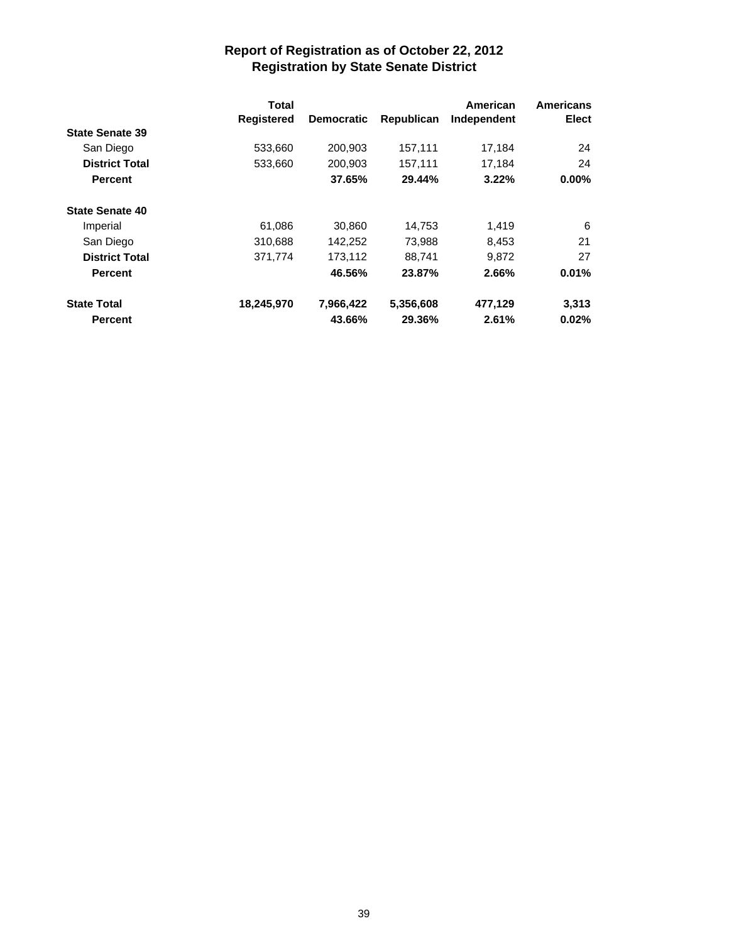|                        | Total<br><b>Registered</b> | <b>Democratic</b> | Republican | American<br>Independent | <b>Americans</b><br><b>Elect</b> |
|------------------------|----------------------------|-------------------|------------|-------------------------|----------------------------------|
| <b>State Senate 39</b> |                            |                   |            |                         |                                  |
| San Diego              | 533,660                    | 200.903           | 157,111    | 17.184                  | 24                               |
| <b>District Total</b>  | 533,660                    | 200.903           | 157,111    | 17.184                  | 24                               |
| <b>Percent</b>         |                            | 37.65%            | 29.44%     | 3.22%                   | $0.00\%$                         |
| <b>State Senate 40</b> |                            |                   |            |                         |                                  |
| Imperial               | 61,086                     | 30,860            | 14,753     | 1,419                   | 6                                |
| San Diego              | 310.688                    | 142,252           | 73,988     | 8,453                   | 21                               |
| <b>District Total</b>  | 371.774                    | 173.112           | 88.741     | 9.872                   | 27                               |
| <b>Percent</b>         |                            | 46.56%            | 23.87%     | 2.66%                   | 0.01%                            |
| <b>State Total</b>     | 18,245,970                 | 7,966,422         | 5,356,608  | 477,129                 | 3,313                            |
| <b>Percent</b>         |                            | 43.66%            | 29.36%     | 2.61%                   | 0.02%                            |